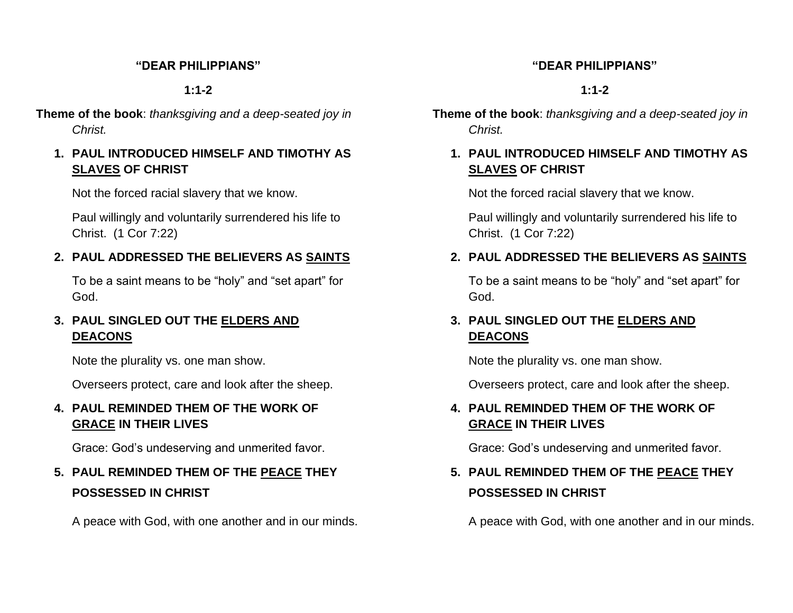#### **"DEAR PHILIPPIANS"**

**1:1-2**

**Theme of the book**: *thanksgiving and a deep-seated joy in Christ.*

#### **1. PAUL INTRODUCED HIMSELF AND TIMOTHY AS SLAVES OF CHRIST**

Not the forced racial slavery that we know.

Paul willingly and voluntarily surrendered his life to Christ. (1 Cor 7:22)

## **2. PAUL ADDRESSED THE BELIEVERS AS SAINTS**

To be a saint means to be "holy" and "set apart" for God.

## **3. PAUL SINGLED OUT THE ELDERS AND DEACONS**

Note the plurality vs. one man show.

Overseers protect, care and look after the sheep.

### **4. PAUL REMINDED THEM OF THE WORK OF GRACE IN THEIR LIVES**

Grace: God's undeserving and unmerited favor.

# **5. PAUL REMINDED THEM OF THE PEACE THEY POSSESSED IN CHRIST**

A peace with God, with one another and in our minds.

#### **"DEAR PHILIPPIANS"**

### **1:1-2**

- **Theme of the book**: *thanksgiving and a deep-seated joy in Christ.*
	- **1. PAUL INTRODUCED HIMSELF AND TIMOTHY AS SLAVES OF CHRIST**

Not the forced racial slavery that we know.

Paul willingly and voluntarily surrendered his life to Christ. (1 Cor 7:22)

# **2. PAUL ADDRESSED THE BELIEVERS AS SAINTS**

To be a saint means to be "holy" and "set apart" for God.

### **3. PAUL SINGLED OUT THE ELDERS AND DEACONS**

Note the plurality vs. one man show.

Overseers protect, care and look after the sheep.

# **4. PAUL REMINDED THEM OF THE WORK OF GRACE IN THEIR LIVES**

Grace: God's undeserving and unmerited favor.

# **5. PAUL REMINDED THEM OF THE PEACE THEY POSSESSED IN CHRIST**

A peace with God, with one another and in our minds.